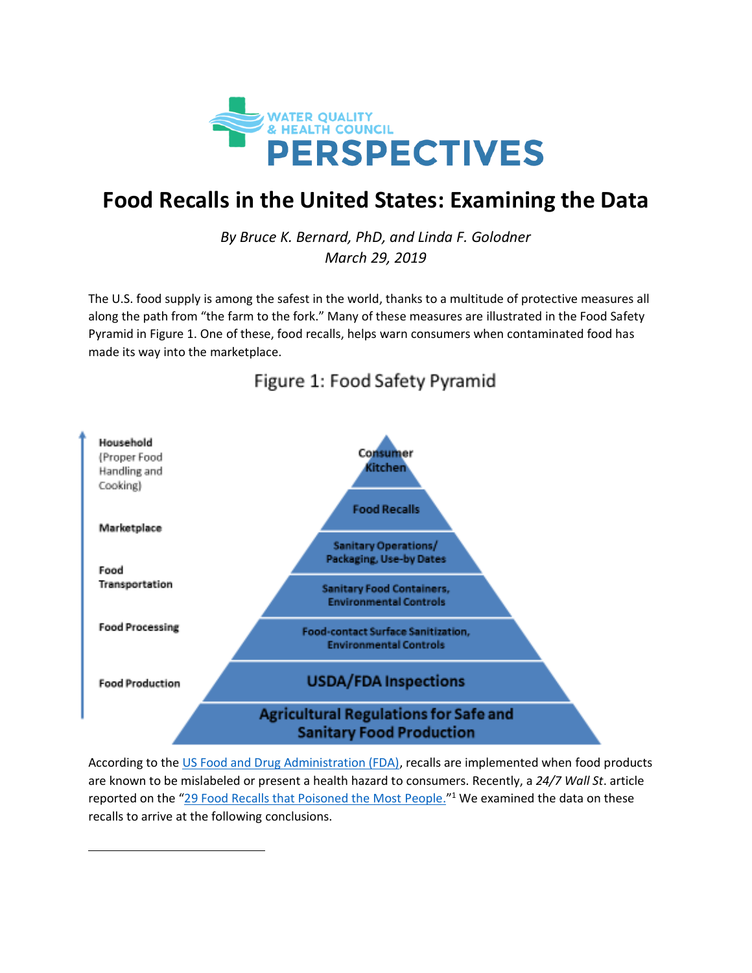

# **Food Recalls in the United States: Examining the Data**

*By Bruce K. Bernard, PhD, and Linda F. Golodner March 29, 2019*

The U.S. food supply is among the safest in the world, thanks to a multitude of protective measures all along the path from "the farm to the fork." Many of these measures are illustrated in the Food Safety Pyramid in Figure 1. One of these, food recalls, helps warn consumers when contaminated food has made its way into the marketplace.



## Figure 1: Food Safety Pyramid

According to the [US Food and Drug Administration \(FDA\),](https://www.fda.gov/Food/RecallsOutbreaksEmergencies/Recalls/default.htm) recalls are implemented when food products are known to be mislabeled or present a health hazard to consumers. Recently, a *24/7 Wall St*. article reported on the "[29 Food Recalls that Poisoned the Most People.](https://247wallst.com/special-report/2018/06/21/29-worst-food-recalls-of-all-time/2/)"<sup>1</sup> We examined the data on these recalls to arrive at the following conclusions.

 $\overline{a}$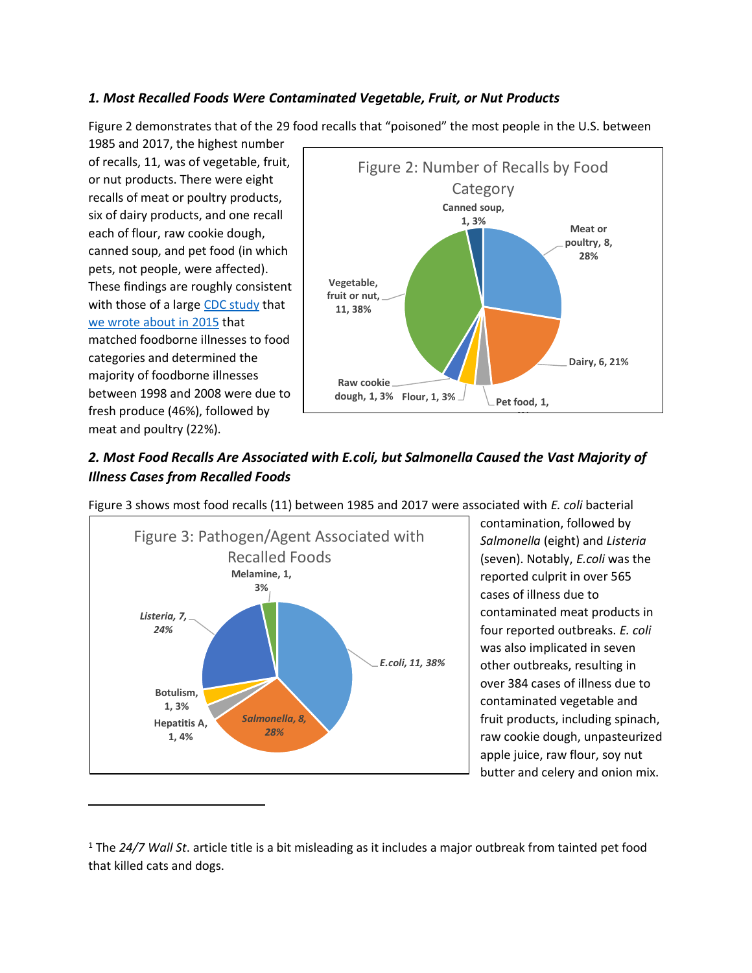#### *1. Most Recalled Foods Were Contaminated Vegetable, Fruit, or Nut Products*

Figure 2 demonstrates that of the 29 food recalls that "poisoned" the most people in the U.S. between

1985 and 2017, the highest number of recalls, 11, was of vegetable, fruit, or nut products. There were eight recalls of meat or poultry products, six of dairy products, and one recall each of flour, raw cookie dough, canned soup, and pet food (in which pets, not people, were affected). These findings are roughly consistent with those of a large [CDC study](https://wwwnc.cdc.gov/eid/article/19/3/11-1866_article) that [we wrote about in 2015](https://waterandhealth.org/disinfect/food_safety/foodborne-illness-its-meat-poultry-seafood-2/) that matched foodborne illnesses to food categories and determined the majority of foodborne illnesses between 1998 and 2008 were due to fresh produce (46%), followed by meat and poultry (22%).

 $\overline{\phantom{0}}$ 



### *2. Most Food Recalls Are Associated with E.coli, but Salmonella Caused the Vast Majority of Illness Cases from Recalled Foods*



Figure 3 shows most food recalls (11) between 1985 and 2017 were associated with *E. coli* bacterial

contamination, followed by *Salmonella* (eight) and *Listeria* (seven). Notably, *E.coli* was the reported culprit in over 565 cases of illness due to contaminated meat products in four reported outbreaks. *E. coli*  was also implicated in seven other outbreaks, resulting in over 384 cases of illness due to contaminated vegetable and fruit products, including spinach, raw cookie dough, unpasteurized apple juice, raw flour, soy nut butter and celery and onion mix.

<sup>1</sup> The *24/7 Wall St*. article title is a bit misleading as it includes a major outbreak from tainted pet food that killed cats and dogs.